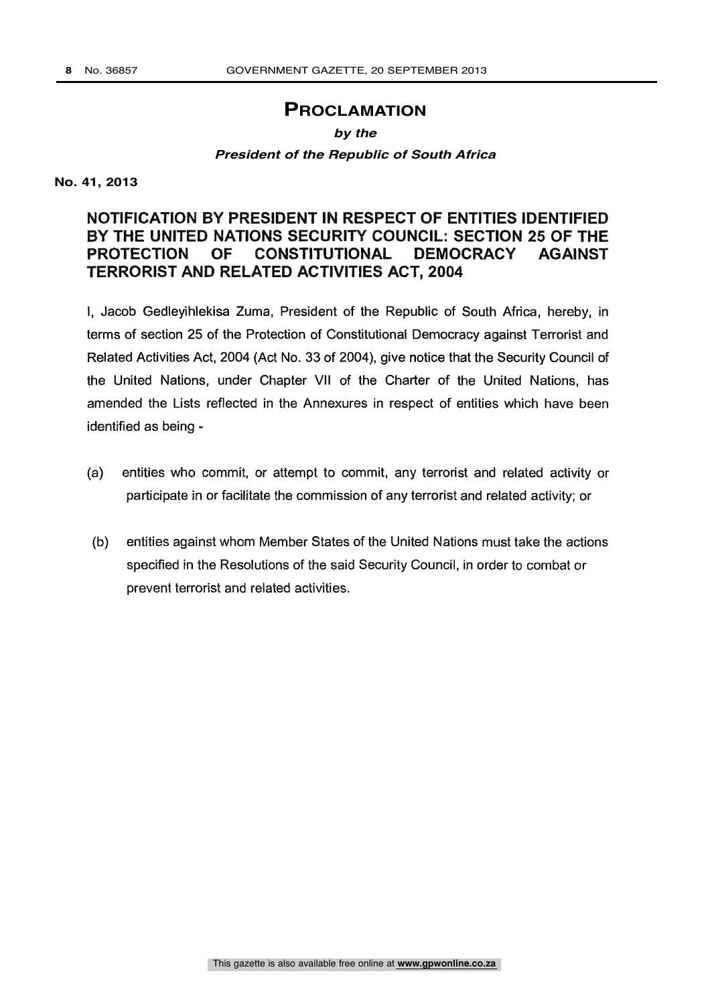# **PROCLAMATION**

#### *by the*

## *President of the Republic of South Africa*

**No. 41, 2013**

## NOTIFICATION BY PRESIDENT IN RESPECT OF ENTITIES IDENTIFIED BY THE UNITED NATIONS SECURITY COUNCIL: SECTION 25 OF THE PROTECTION OF CONSTITUTIONAL DEMOCRACY AGAINST TERRORIST AND RELATED ACTIVITIES ACT, 2004

I, Jacob Gedleyihlekisa Zuma, President of the Republic of South Africa, hereby, in terms of section 25 of the Protection of Constitutional Democracy against Terrorist and Related Activities Act, 2004 (Act No. 33 of 2004), give notice that the Security Council of the United Nations, under Chapter VII of the Charter of the United Nations, has amended the Lists reflected in the Annexures in respect of entities which have been identified as being -

- (a) entities who commit, or attempt to commit, any terrorist and related activity or participate in or facilitate the commission of any terrorist and related activity; or
- (b) entities against whom Member States of the United Nations must take the actions specified in the Resolutions of the said Security Council, in order to combat or prevent terrorist and related activities.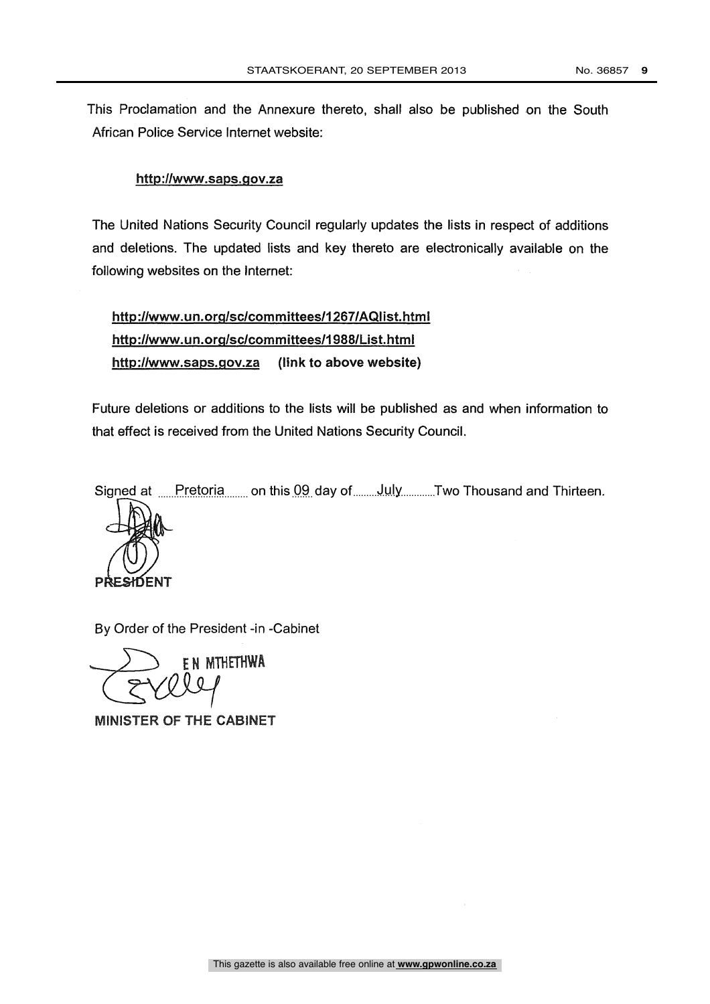This Proclamation and the Annexure thereto, shall also be published on the South African Police Service Internet website:

## http://www.saps.qov.za

The United Nations Security Council regularly updates the lists in respect of additions and deletions. The updated lists and key thereto are electronically available on the following websites on the Internet:

http:11www.un.orq/sc/committees/1267/AQIist.html http://www.un.org/sc/committees/1988/List.html http://www.saps.qov.za (link to above website)

Future deletions or additions to the lists will be published as and when information to that effect is received from the United Nations Security Council.

Signed at ......<u>Pretoria .......</u> on this <u>09.</u> day of.........July...........Two Thousand and Thirteen.



By Order of the President -in -Cabinet

EN MTHETHWA

MINISTER OF THE CABINET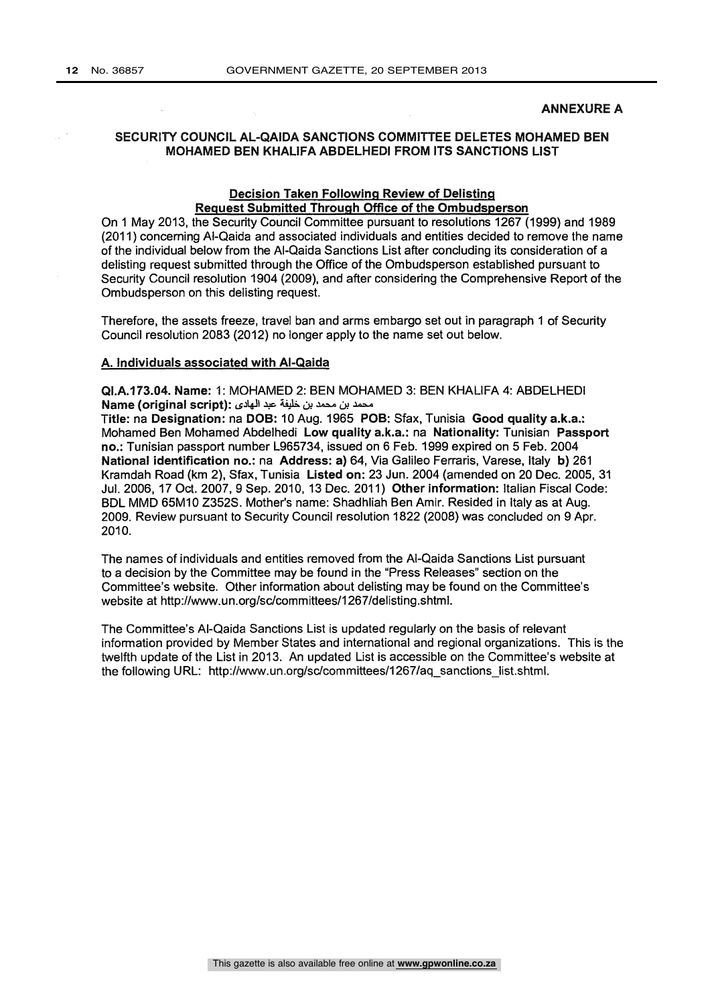#### ANNEXURE A

#### SECURITY COUNCIL AL-QAIDA SANCTIONS COMMITTEE DELETES MOHAMED BEN MOHAMED BEN KHALIFA ABDELHEDI FROM ITS SANCTIONS LIST

#### Decision Taken Following Review of Delistinq Request Submitted Through Office of the Ombudsperson

On 1 May 2013, the Security Council Committee pursuant to resolutions 1267 (1999) and 1989 (2011) concerning Al-Qaida and associated individuals and entities decided to remove the name of the individual below from the Al-Qaida Sanctions List after concluding its consideration of a delisting request submitted through the Office of the Ombudsperson established pursuant to Security Council resolution 1904 (2009), and after considering the Comprehensive Report of the Ombudsperson on this delisting request.

Therefore, the assets freeze, travel ban and arms embargo set out in paragraph 1 of Security Council resolution 2083 (2012) no longer apply to the name set out below.

#### A. Individuals associated with Al-Qaida

QI.A.173.04. Name: 1: MOHAMED 2: BEN MOHAMED 3: BEN KHALIFA 4: ABDELHEDI Name (original script): محمد بن خليفة عبد الهادي

Title: na Designation: na DOB: 10 Aug. 1965 POB: Sfax, Tunisia Good quality a.k.a.: Mohamed Ben Mohamed Abdelhedi Low quality a.k.a.: na Nationality: Tunisian Passport no.: Tunisian passport number L965734, issued on 6 Feb. 1999 expired on 5 Feb. 2004 National identification no.: na Address: a) 64, Via Galileo Ferraris, Varese, Italy b) 261 Kramdah Road (km 2), Sfax, Tunisia Listed on: 23 Jun. 2004 (amended on 20 Dec. 2005, 31 Jul. 2006, 17 Oct. 2007, 9 Sep. 2010, 13 Dec. 2011) Other information: Italian Fiscal Code: BDL MMD 65M10 Z352S. Mother's name: Shadhliah Ben Amir. Resided in Italy as at Aug. 2009. Review pursuant to Security Council resolution 1822 (2008) was concluded on 9 Apr. 2010.

The names of individuals and entities removed from the Al-Qaida Sanctions List pursuant to a decision by the Committee may be found in the "Press Releases" section on the Committee's website. Other information about delisting may be found on the Committee's website at http://www.un.org/sc/committees/1267/delisting.shtml.

The Committee's Al-Qaida Sanctions List is updated regularly on the basis of relevant information provided by Member States and international and regional organizations. This is the twelfth update of the List in 2013. An updated List is accessible on the Committee's website at the following URL: http://www.un.org/sc/committees/1267/aq\_sanctions list.shtml.